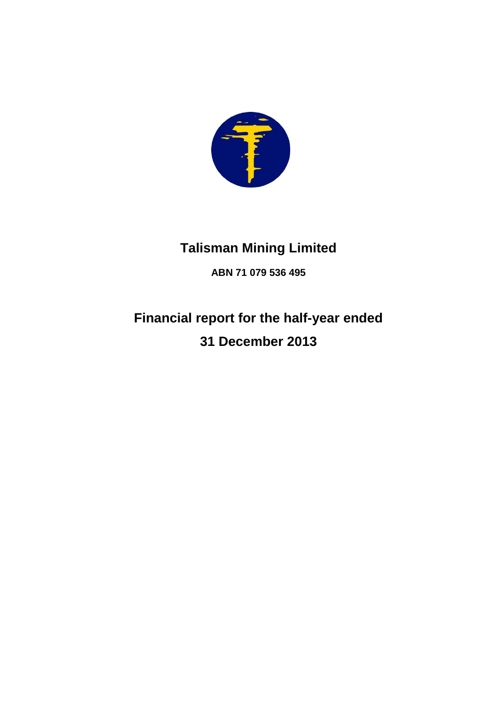

# **Talisman Mining Limited**

**ABN 71 079 536 495**

# **Financial report for the half-year ended 31 December 2013**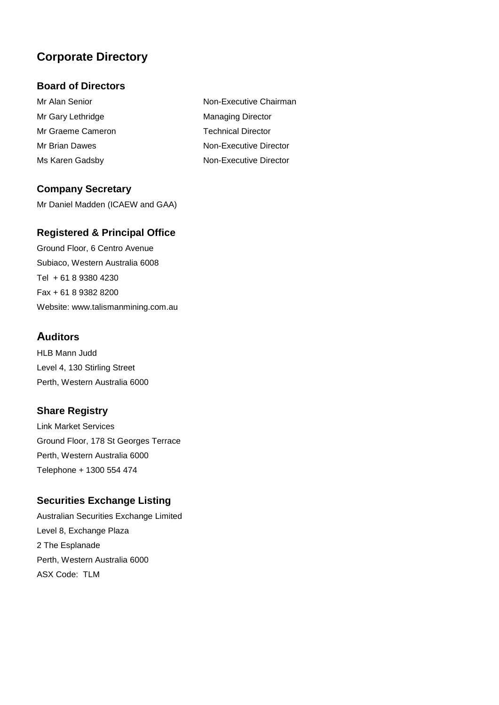## **Corporate Directory**

### **Board of Directors**

Mr Gary Lethridge Managing Director Mr Graeme Cameron Technical Director Ms Karen Gadsby Non-Executive Director

**Company Secretary**

Mr Daniel Madden (ICAEW and GAA)

### **Registered & Principal Office**

Ground Floor, 6 Centro Avenue Subiaco, Western Australia 6008 Tel + 61 8 9380 4230 Fax + 61 8 9382 8200 Website: www.talismanmining.com.au

### **Auditors**

HLB Mann Judd Level 4, 130 Stirling Street Perth, Western Australia 6000

### **Share Registry**

Link Market Services Ground Floor, 178 St Georges Terrace Perth, Western Australia 6000 Telephone + 1300 554 474

### **Securities Exchange Listing**

Australian Securities Exchange Limited Level 8, Exchange Plaza 2 The Esplanade Perth, Western Australia 6000 ASX Code: TLM

Mr Alan Senior Non-Executive Chairman Mr Brian Dawes Non-Executive Director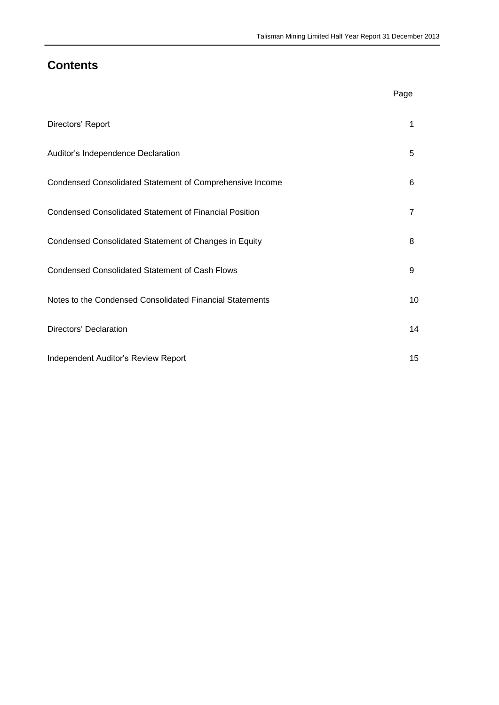### **Contents**

|                                                               | Page           |
|---------------------------------------------------------------|----------------|
| Directors' Report                                             | 1              |
| Auditor's Independence Declaration                            | 5              |
| Condensed Consolidated Statement of Comprehensive Income      | 6              |
| <b>Condensed Consolidated Statement of Financial Position</b> | $\overline{7}$ |
| Condensed Consolidated Statement of Changes in Equity         | 8              |
| <b>Condensed Consolidated Statement of Cash Flows</b>         | 9              |
| Notes to the Condensed Consolidated Financial Statements      | 10             |
| Directors' Declaration                                        | 14             |
| Independent Auditor's Review Report                           | 15             |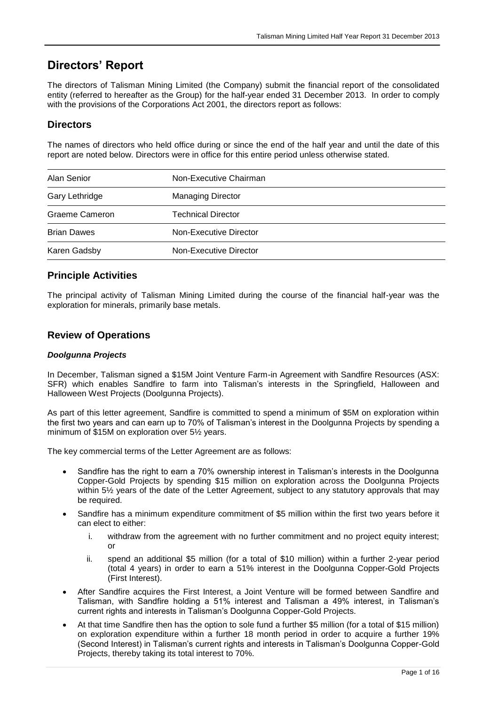### **Directors' Report**

The directors of Talisman Mining Limited (the Company) submit the financial report of the consolidated entity (referred to hereafter as the Group) for the half-year ended 31 December 2013. In order to comply with the provisions of the Corporations Act 2001, the directors report as follows:

### **Directors**

The names of directors who held office during or since the end of the half year and until the date of this report are noted below. Directors were in office for this entire period unless otherwise stated.

| Alan Senior        | Non-Executive Chairman    |  |  |
|--------------------|---------------------------|--|--|
| Gary Lethridge     | <b>Managing Director</b>  |  |  |
| Graeme Cameron     | <b>Technical Director</b> |  |  |
| <b>Brian Dawes</b> | Non-Executive Director    |  |  |
| Karen Gadsby       | Non-Executive Director    |  |  |

### **Principle Activities**

The principal activity of Talisman Mining Limited during the course of the financial half-year was the exploration for minerals, primarily base metals.

#### **Review of Operations**

#### *Doolgunna Projects*

In December, Talisman signed a \$15M Joint Venture Farm-in Agreement with Sandfire Resources (ASX: SFR) which enables Sandfire to farm into Talisman's interests in the Springfield, Halloween and Halloween West Projects (Doolgunna Projects).

As part of this letter agreement, Sandfire is committed to spend a minimum of \$5M on exploration within the first two years and can earn up to 70% of Talisman's interest in the Doolgunna Projects by spending a minimum of \$15M on exploration over 5½ years.

The key commercial terms of the Letter Agreement are as follows:

- Sandfire has the right to earn a 70% ownership interest in Talisman's interests in the Doolgunna Copper-Gold Projects by spending \$15 million on exploration across the Doolgunna Projects within 5½ years of the date of the Letter Agreement, subject to any statutory approvals that may be required.
- Sandfire has a minimum expenditure commitment of \$5 million within the first two years before it can elect to either:
	- i. withdraw from the agreement with no further commitment and no project equity interest; or
	- ii. spend an additional \$5 million (for a total of \$10 million) within a further 2-year period (total 4 years) in order to earn a 51% interest in the Doolgunna Copper-Gold Projects (First Interest).
- After Sandfire acquires the First Interest, a Joint Venture will be formed between Sandfire and Talisman, with Sandfire holding a 51% interest and Talisman a 49% interest, in Talisman's current rights and interests in Talisman's Doolgunna Copper-Gold Projects.
- At that time Sandfire then has the option to sole fund a further \$5 million (for a total of \$15 million) on exploration expenditure within a further 18 month period in order to acquire a further 19% (Second Interest) in Talisman's current rights and interests in Talisman's Doolgunna Copper-Gold Projects, thereby taking its total interest to 70%.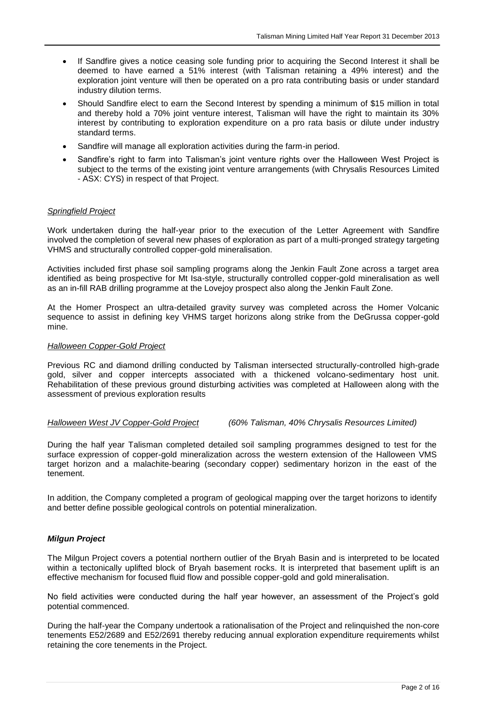- If Sandfire gives a notice ceasing sole funding prior to acquiring the Second Interest it shall be deemed to have earned a 51% interest (with Talisman retaining a 49% interest) and the exploration joint venture will then be operated on a pro rata contributing basis or under standard industry dilution terms.
- Should Sandfire elect to earn the Second Interest by spending a minimum of \$15 million in total and thereby hold a 70% joint venture interest, Talisman will have the right to maintain its 30% interest by contributing to exploration expenditure on a pro rata basis or dilute under industry standard terms.
- Sandfire will manage all exploration activities during the farm-in period.
- Sandfire's right to farm into Talisman's joint venture rights over the Halloween West Project is subject to the terms of the existing joint venture arrangements (with Chrysalis Resources Limited - ASX: CYS) in respect of that Project.

#### *Springfield Project*

Work undertaken during the half-year prior to the execution of the Letter Agreement with Sandfire involved the completion of several new phases of exploration as part of a multi-pronged strategy targeting VHMS and structurally controlled copper-gold mineralisation.

Activities included first phase soil sampling programs along the Jenkin Fault Zone across a target area identified as being prospective for Mt Isa-style, structurally controlled copper-gold mineralisation as well as an in-fill RAB drilling programme at the Lovejoy prospect also along the Jenkin Fault Zone.

At the Homer Prospect an ultra-detailed gravity survey was completed across the Homer Volcanic sequence to assist in defining key VHMS target horizons along strike from the DeGrussa copper-gold mine.

#### *Halloween Copper-Gold Project*

Previous RC and diamond drilling conducted by Talisman intersected structurally-controlled high-grade gold, silver and copper intercepts associated with a thickened volcano-sedimentary host unit. Rehabilitation of these previous ground disturbing activities was completed at Halloween along with the assessment of previous exploration results

*Halloween West JV Copper-Gold Project (60% Talisman, 40% Chrysalis Resources Limited)*

During the half year Talisman completed detailed soil sampling programmes designed to test for the surface expression of copper-gold mineralization across the western extension of the Halloween VMS target horizon and a malachite-bearing (secondary copper) sedimentary horizon in the east of the tenement.

In addition, the Company completed a program of geological mapping over the target horizons to identify and better define possible geological controls on potential mineralization.

#### *Milgun Project*

The Milgun Project covers a potential northern outlier of the Bryah Basin and is interpreted to be located within a tectonically uplifted block of Bryah basement rocks. It is interpreted that basement uplift is an effective mechanism for focused fluid flow and possible copper-gold and gold mineralisation.

No field activities were conducted during the half year however, an assessment of the Project's gold potential commenced.

During the half-year the Company undertook a rationalisation of the Project and relinquished the non-core tenements E52/2689 and E52/2691 thereby reducing annual exploration expenditure requirements whilst retaining the core tenements in the Project.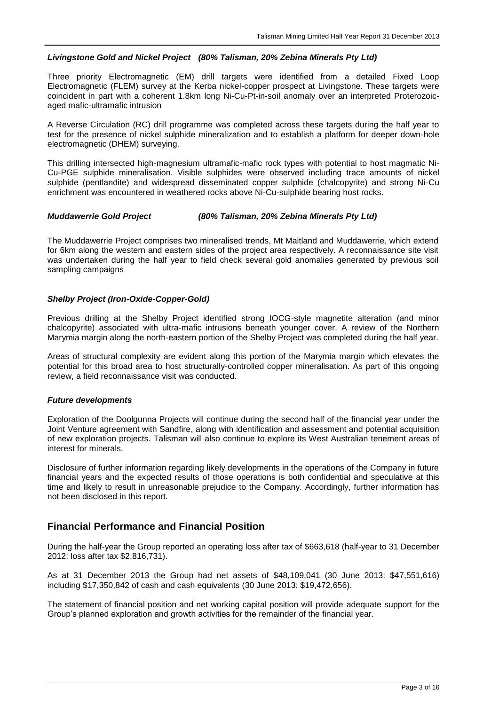#### *Livingstone Gold and Nickel Project (80% Talisman, 20% Zebina Minerals Pty Ltd)*

Three priority Electromagnetic (EM) drill targets were identified from a detailed Fixed Loop Electromagnetic (FLEM) survey at the Kerba nickel-copper prospect at Livingstone. These targets were coincident in part with a coherent 1.8km long Ni-Cu-Pt-in-soil anomaly over an interpreted Proterozoicaged mafic-ultramafic intrusion

A Reverse Circulation (RC) drill programme was completed across these targets during the half year to test for the presence of nickel sulphide mineralization and to establish a platform for deeper down-hole electromagnetic (DHEM) surveying.

This drilling intersected high-magnesium ultramafic-mafic rock types with potential to host magmatic Ni-Cu-PGE sulphide mineralisation. Visible sulphides were observed including trace amounts of nickel sulphide (pentlandite) and widespread disseminated copper sulphide (chalcopyrite) and strong Ni-Cu enrichment was encountered in weathered rocks above Ni-Cu-sulphide bearing host rocks.

#### *Muddawerrie Gold Project (80% Talisman, 20% Zebina Minerals Pty Ltd)*

The Muddawerrie Project comprises two mineralised trends, Mt Maitland and Muddawerrie, which extend for 6km along the western and eastern sides of the project area respectively. A reconnaissance site visit was undertaken during the half year to field check several gold anomalies generated by previous soil sampling campaigns

#### *Shelby Project (Iron-Oxide-Copper-Gold)*

Previous drilling at the Shelby Project identified strong IOCG-style magnetite alteration (and minor chalcopyrite) associated with ultra-mafic intrusions beneath younger cover. A review of the Northern Marymia margin along the north-eastern portion of the Shelby Project was completed during the half year.

Areas of structural complexity are evident along this portion of the Marymia margin which elevates the potential for this broad area to host structurally-controlled copper mineralisation. As part of this ongoing review, a field reconnaissance visit was conducted.

#### *Future developments*

Exploration of the Doolgunna Projects will continue during the second half of the financial year under the Joint Venture agreement with Sandfire, along with identification and assessment and potential acquisition of new exploration projects. Talisman will also continue to explore its West Australian tenement areas of interest for minerals.

Disclosure of further information regarding likely developments in the operations of the Company in future financial years and the expected results of those operations is both confidential and speculative at this time and likely to result in unreasonable prejudice to the Company. Accordingly, further information has not been disclosed in this report.

#### **Financial Performance and Financial Position**

During the half-year the Group reported an operating loss after tax of \$663,618 (half-year to 31 December 2012: loss after tax \$2,816,731).

As at 31 December 2013 the Group had net assets of \$48,109,041 (30 June 2013: \$47,551,616) including \$17,350,842 of cash and cash equivalents (30 June 2013: \$19,472,656).

The statement of financial position and net working capital position will provide adequate support for the Group's planned exploration and growth activities for the remainder of the financial year.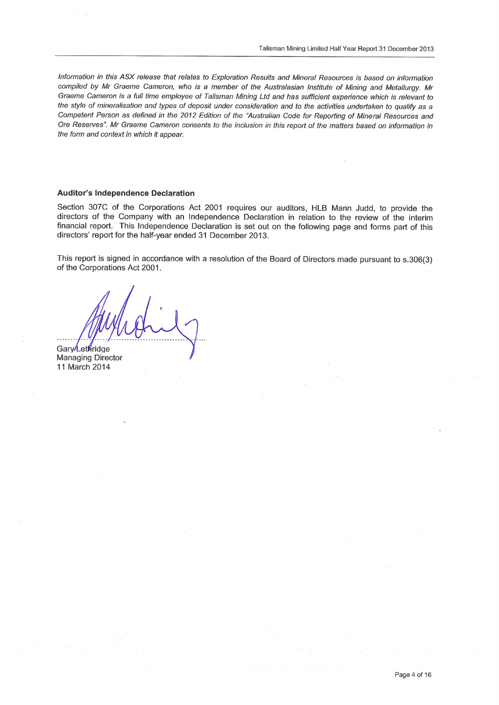Information in this ASX release that relates to Exploration Results and Mineral Resources is based on information compiled by Mr Graeme Cameron, who is a member of the Australasian Institute of Mining and Metallurgy. Mr Graeme Cameron is a full time employee of Talisman Mining Ltd and has sufficient experience which is relevant to the style of mineralisation and types of deposit under consideration and to the activities undertaken to qualify as a Competent Person as defined in the 2012 Edition of the "Australian Code for Reporting of Mineral Resources and Ore Reserves". Mr Graeme Cameron consents to the inclusion in this report of the matters based on information in the form and context in which it appear.

#### **Auditor's Independence Declaration**

Section 307C of the Corporations Act 2001 requires our auditors, HLB Mann Judd, to provide the directors of the Company with an Independence Declaration in relation to the review of the interim financial report. This Independence Declaration is set out on the following page and forms part of this directors' report for the half-year ended 31 December 2013.

This report is signed in accordance with a resolution of the Board of Directors made pursuant to s.306(3) of the Corporations Act 2001.

Gary/Lethridge **Managing Director** 11 March 2014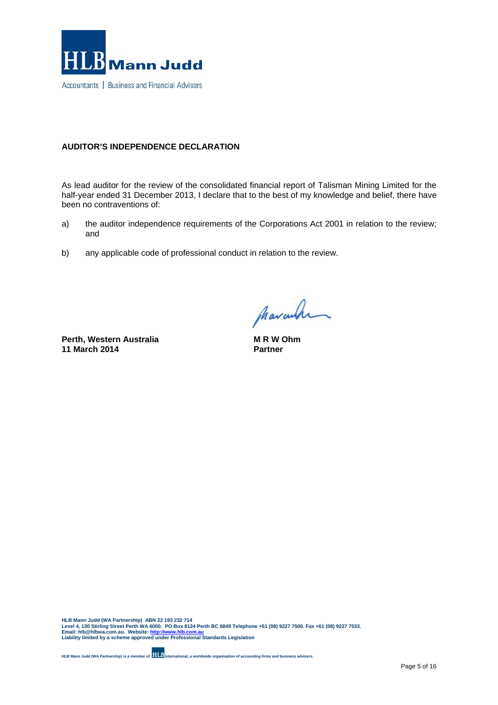

#### **AUDITOR'S INDEPENDENCE DECLARATION**

As lead auditor for the review of the consolidated financial report of Talisman Mining Limited for the half-year ended 31 December 2013, I declare that to the best of my knowledge and belief, there have been no contraventions of:

- a) the auditor independence requirements of the Corporations Act 2001 in relation to the review; and
- b) any applicable code of professional conduct in relation to the review.

**Perth, Western Australia 11 March 2014**

pharanhan

**M R W Ohm Partner**

HLB Mann Judd (WA Partnership) ABN 22 193 232 714<br>Level 4, 130 Stirling Street Perth WA 6000. PO Box 8124 Perth BC 6849 Telephone +61 (08) 9227 7500. Fax +61 (08) 9227 7533.<br>Email: hIb@hlbwa.com.au. Website: <u>http://ww</u>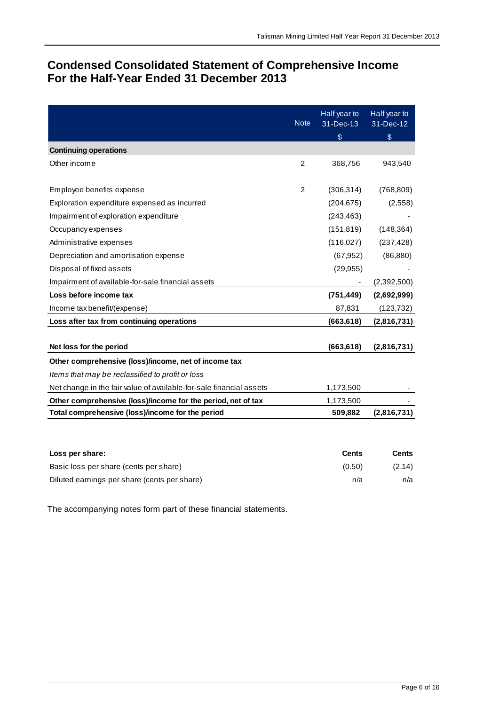### **Condensed Consolidated Statement of Comprehensive Income For the Half-Year Ended 31 December 2013**

|                                                                     | <b>Note</b>    | Half year to<br>31-Dec-13<br>$\$\$ | Half year to<br>31-Dec-12<br>$\$\$ |
|---------------------------------------------------------------------|----------------|------------------------------------|------------------------------------|
| <b>Continuing operations</b>                                        |                |                                    |                                    |
| Other income                                                        | $\overline{2}$ | 368,756                            | 943,540                            |
| Employee benefits expense                                           | $\overline{c}$ | (306, 314)                         | (768, 809)                         |
| Exploration expenditure expensed as incurred                        |                | (204, 675)                         | (2,558)                            |
| Impairment of exploration expenditure                               |                | (243, 463)                         |                                    |
| Occupancy expenses                                                  |                | (151, 819)                         | (148, 364)                         |
| Administrative expenses                                             |                | (116, 027)                         | (237, 428)                         |
| Depreciation and amortisation expense                               |                | (67, 952)                          | (86, 880)                          |
| Disposal of fixed assets                                            |                | (29, 955)                          |                                    |
| Impairment of available-for-sale financial assets                   |                |                                    | (2,392,500)                        |
| Loss before income tax                                              |                | (751, 449)                         | (2,692,999)                        |
| Income tax benefit/(expense)                                        |                | 87,831                             | (123, 732)                         |
| Loss after tax from continuing operations                           |                | (663, 618)                         | (2,816,731)                        |
| Net loss for the period                                             |                | (663, 618)                         | (2,816,731)                        |
| Other comprehensive (loss)/income, net of income tax                |                |                                    |                                    |
| Items that may be reclassified to profit or loss                    |                |                                    |                                    |
| Net change in the fair value of available-for-sale financial assets |                | 1,173,500                          |                                    |
| Other comprehensive (loss)/income for the period, net of tax        |                | 1,173,500                          |                                    |
| Total comprehensive (loss)/income for the period                    |                | 509,882                            | (2,816,731)                        |
|                                                                     |                |                                    |                                    |
| Loss per share:                                                     |                | <b>Cents</b>                       | <b>Cents</b>                       |
| Basic loss per share (cents per share)                              |                | (0.50)                             | (2.14)                             |

Diluted earnings per share (cents per share) n/a n/a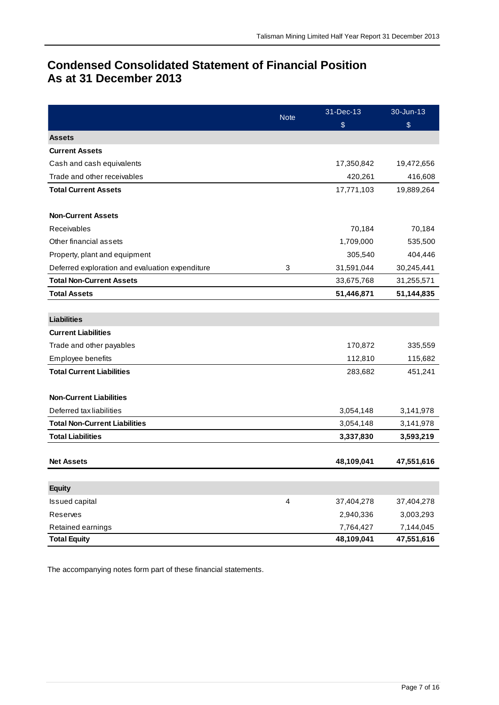### **Condensed Consolidated Statement of Financial Position As at 31 December 2013**

|                                                 | <b>Note</b> | 31-Dec-13  | 30-Jun-13    |  |
|-------------------------------------------------|-------------|------------|--------------|--|
|                                                 |             | \$         | \$           |  |
| <b>Assets</b>                                   |             |            |              |  |
| <b>Current Assets</b>                           |             |            |              |  |
| Cash and cash equivalents                       |             | 17,350,842 | 19,472,656   |  |
| Trade and other receivables                     |             | 420,261    | 416,608      |  |
| <b>Total Current Assets</b>                     |             | 17,771,103 | 19,889,264   |  |
|                                                 |             |            |              |  |
| <b>Non-Current Assets</b>                       |             |            |              |  |
| Receivables                                     |             | 70,184     | 70,184       |  |
| Other financial assets                          |             | 1,709,000  | 535,500      |  |
| Property, plant and equipment                   |             | 305,540    | 404,446      |  |
| Deferred exploration and evaluation expenditure | 3           | 31,591,044 | 30,245,441   |  |
| <b>Total Non-Current Assets</b>                 |             | 33,675,768 | 31,255,571   |  |
| <b>Total Assets</b>                             |             | 51,446,871 | 51, 144, 835 |  |
|                                                 |             |            |              |  |
| <b>Liabilities</b>                              |             |            |              |  |
| <b>Current Liabilities</b>                      |             |            |              |  |
| Trade and other payables                        |             | 170,872    | 335,559      |  |
| Employee benefits                               |             | 112,810    | 115,682      |  |
| <b>Total Current Liabilities</b>                |             | 283,682    | 451,241      |  |
|                                                 |             |            |              |  |
| <b>Non-Current Liabilities</b>                  |             |            |              |  |
| Deferred tax liabilities                        |             | 3,054,148  | 3,141,978    |  |
| <b>Total Non-Current Liabilities</b>            |             | 3,054,148  | 3,141,978    |  |
| <b>Total Liabilities</b>                        |             | 3,337,830  | 3,593,219    |  |
|                                                 |             |            |              |  |
| <b>Net Assets</b>                               |             | 48,109,041 | 47,551,616   |  |
|                                                 |             |            |              |  |
| <b>Equity</b>                                   |             |            |              |  |
| <b>Issued capital</b>                           | 4           | 37,404,278 | 37,404,278   |  |
| Reserves                                        |             | 2,940,336  | 3,003,293    |  |
| Retained earnings                               |             | 7,764,427  | 7,144,045    |  |
| <b>Total Equity</b>                             |             | 48,109,041 | 47,551,616   |  |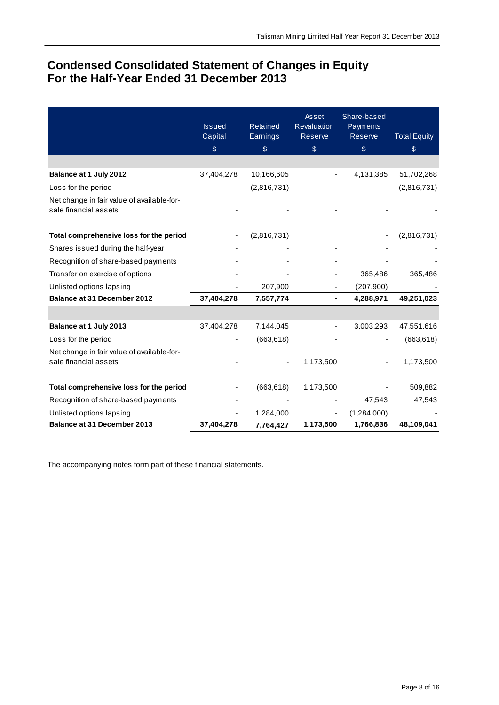### **Condensed Consolidated Statement of Changes in Equity For the Half-Year Ended 31 December 2013**

|                                                                     | <b>Issued</b><br>Capital | Retained<br>Earnings | Asset<br>Revaluation<br>Reserve | Share-based<br>Payments<br>Reserve | <b>Total Equity</b> |
|---------------------------------------------------------------------|--------------------------|----------------------|---------------------------------|------------------------------------|---------------------|
|                                                                     | \$                       | $\$\$                | $\$\$                           | \$                                 | \$                  |
|                                                                     |                          |                      |                                 |                                    |                     |
| Balance at 1 July 2012                                              | 37,404,278               | 10,166,605           |                                 | 4,131,385                          | 51,702,268          |
| Loss for the period                                                 |                          | (2,816,731)          |                                 |                                    | (2,816,731)         |
| Net change in fair value of available-for-<br>sale financial assets |                          |                      |                                 |                                    |                     |
| Total comprehensive loss for the period                             |                          | (2,816,731)          |                                 |                                    | (2,816,731)         |
| Shares issued during the half-year                                  |                          |                      |                                 |                                    |                     |
| Recognition of share-based payments                                 |                          |                      |                                 |                                    |                     |
| Transfer on exercise of options                                     |                          |                      |                                 | 365,486                            | 365,486             |
| Unlisted options lapsing                                            |                          | 207,900              |                                 | (207, 900)                         |                     |
| Balance at 31 December 2012                                         | 37,404,278               | 7,557,774            |                                 | 4,288,971                          | 49,251,023          |
|                                                                     |                          |                      |                                 |                                    |                     |
| Balance at 1 July 2013                                              | 37,404,278               | 7,144,045            |                                 | 3,003,293                          | 47,551,616          |
| Loss for the period                                                 |                          | (663, 618)           |                                 |                                    | (663, 618)          |
| Net change in fair value of available-for-<br>sale financial assets |                          |                      | 1,173,500                       |                                    | 1,173,500           |
| Total comprehensive loss for the period                             |                          | (663, 618)           | 1,173,500                       |                                    | 509,882             |
| Recognition of share-based payments                                 |                          |                      |                                 | 47,543                             | 47,543              |
| Unlisted options lapsing                                            |                          | 1,284,000            |                                 | (1,284,000)                        |                     |
| <b>Balance at 31 December 2013</b>                                  | 37,404,278               | 7,764,427            | 1,173,500                       | 1,766,836                          | 48,109,041          |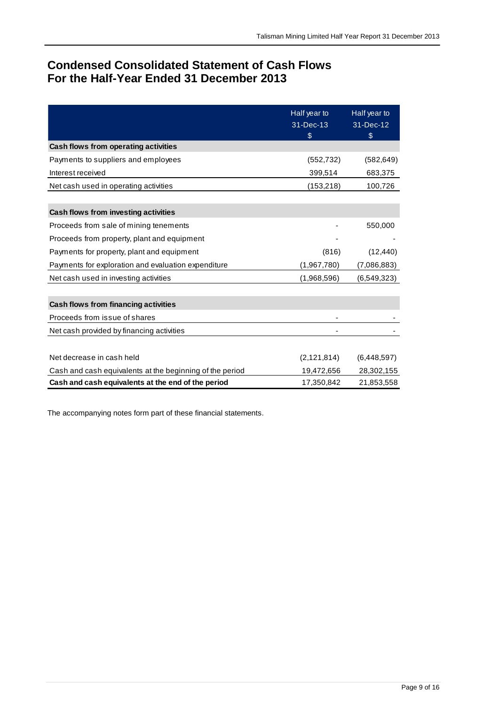### **Condensed Consolidated Statement of Cash Flows For the Half-Year Ended 31 December 2013**

|                                                          | Half year to<br>31-Dec-13<br>\$ | Half year to<br>31-Dec-12<br>\$ |
|----------------------------------------------------------|---------------------------------|---------------------------------|
| Cash flows from operating activities                     |                                 |                                 |
| Payments to suppliers and employees                      | (552, 732)                      | (582, 649)                      |
| Interest received                                        | 399,514                         | 683,375                         |
| Net cash used in operating activities                    | (153, 218)                      | 100,726                         |
|                                                          |                                 |                                 |
| Cash flows from investing activities                     |                                 |                                 |
| Proceeds from sale of mining tenements                   |                                 | 550,000                         |
| Proceeds from property, plant and equipment              |                                 |                                 |
| Payments for property, plant and equipment               | (816)                           | (12, 440)                       |
| Payments for exploration and evaluation expenditure      | (1,967,780)                     | (7,086,883)                     |
| Net cash used in investing activities                    | (1,968,596)                     | (6, 549, 323)                   |
|                                                          |                                 |                                 |
| Cash flows from financing activities                     |                                 |                                 |
| Proceeds from issue of shares                            |                                 |                                 |
| Net cash provided by financing activities                |                                 |                                 |
|                                                          |                                 |                                 |
| Net decrease in cash held                                | (2, 121, 814)                   | (6,448,597)                     |
| Cash and cash equivalents at the beginning of the period | 19,472,656                      | 28,302,155                      |
| Cash and cash equivalents at the end of the period       | 17,350,842                      | 21,853,558                      |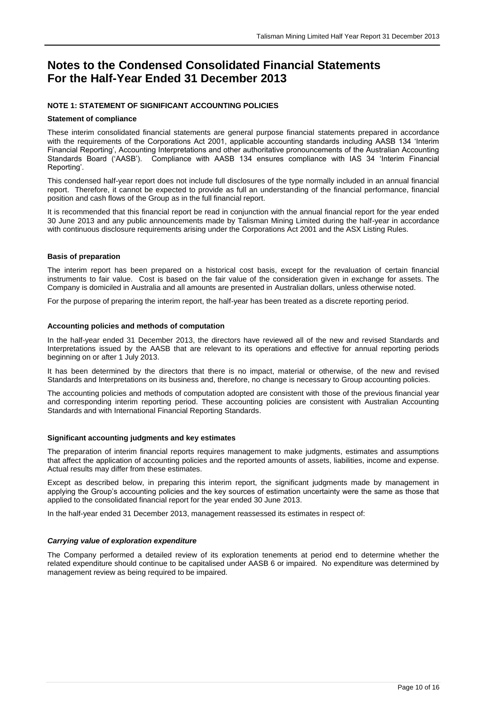#### **NOTE 1: STATEMENT OF SIGNIFICANT ACCOUNTING POLICIES**

#### **Statement of compliance**

These interim consolidated financial statements are general purpose financial statements prepared in accordance with the requirements of the Corporations Act 2001, applicable accounting standards including AASB 134 'Interim Financial Reporting', Accounting Interpretations and other authoritative pronouncements of the Australian Accounting Standards Board ('AASB'). Compliance with AASB 134 ensures compliance with IAS 34 'Interim Financial Reporting'.

This condensed half-year report does not include full disclosures of the type normally included in an annual financial report. Therefore, it cannot be expected to provide as full an understanding of the financial performance, financial position and cash flows of the Group as in the full financial report.

It is recommended that this financial report be read in conjunction with the annual financial report for the year ended 30 June 2013 and any public announcements made by Talisman Mining Limited during the half-year in accordance with continuous disclosure requirements arising under the Corporations Act 2001 and the ASX Listing Rules.

#### **Basis of preparation**

The interim report has been prepared on a historical cost basis, except for the revaluation of certain financial instruments to fair value. Cost is based on the fair value of the consideration given in exchange for assets. The Company is domiciled in Australia and all amounts are presented in Australian dollars, unless otherwise noted.

For the purpose of preparing the interim report, the half-year has been treated as a discrete reporting period.

#### **Accounting policies and methods of computation**

In the half-year ended 31 December 2013, the directors have reviewed all of the new and revised Standards and Interpretations issued by the AASB that are relevant to its operations and effective for annual reporting periods beginning on or after 1 July 2013.

It has been determined by the directors that there is no impact, material or otherwise, of the new and revised Standards and Interpretations on its business and, therefore, no change is necessary to Group accounting policies.

The accounting policies and methods of computation adopted are consistent with those of the previous financial year and corresponding interim reporting period. These accounting policies are consistent with Australian Accounting Standards and with International Financial Reporting Standards.

#### **Significant accounting judgments and key estimates**

The preparation of interim financial reports requires management to make judgments, estimates and assumptions that affect the application of accounting policies and the reported amounts of assets, liabilities, income and expense. Actual results may differ from these estimates.

Except as described below, in preparing this interim report, the significant judgments made by management in applying the Group's accounting policies and the key sources of estimation uncertainty were the same as those that applied to the consolidated financial report for the year ended 30 June 2013.

In the half-year ended 31 December 2013, management reassessed its estimates in respect of:

#### *Carrying value of exploration expenditure*

The Company performed a detailed review of its exploration tenements at period end to determine whether the related expenditure should continue to be capitalised under AASB 6 or impaired. No expenditure was determined by management review as being required to be impaired.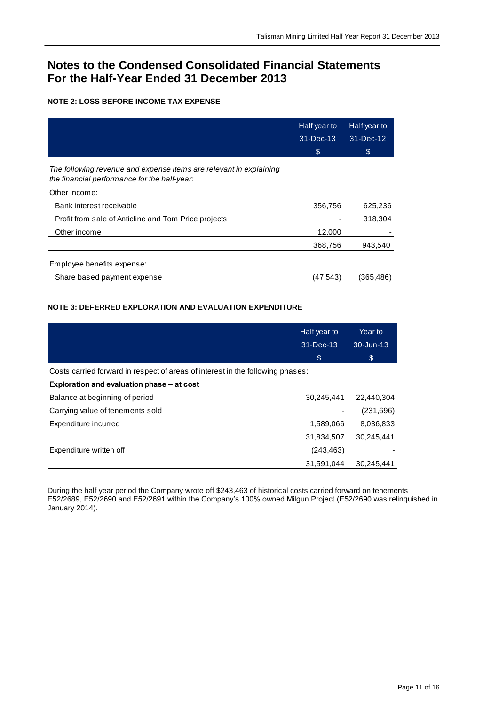#### **NOTE 2: LOSS BEFORE INCOME TAX EXPENSE**

|                                                                                                                    | Half year to<br>$31 - Dec-13$ | Half year to<br>31-Dec-12 |
|--------------------------------------------------------------------------------------------------------------------|-------------------------------|---------------------------|
|                                                                                                                    | \$                            | \$                        |
| The following revenue and expense items are relevant in explaining<br>the financial performance for the half-year: |                               |                           |
| Other Income:                                                                                                      |                               |                           |
| Bank interest receivable                                                                                           | 356,756                       | 625,236                   |
| Profit from sale of Anticline and Tom Price projects                                                               |                               | 318,304                   |
| Other income                                                                                                       | 12,000                        |                           |
|                                                                                                                    | 368,756                       | 943,540                   |
| Employee benefits expense:                                                                                         |                               |                           |
| Share based payment expense                                                                                        | (47,543)                      | (365.486                  |

### **NOTE 3: DEFERRED EXPLORATION AND EVALUATION EXPENDITURE**

|                                                                                | Half year to<br>31-Dec-13 | Year to<br>30-Jun-13 |
|--------------------------------------------------------------------------------|---------------------------|----------------------|
|                                                                                | \$                        | \$                   |
| Costs carried forward in respect of areas of interest in the following phases: |                           |                      |
| Exploration and evaluation phase – at cost                                     |                           |                      |
| Balance at beginning of period                                                 | 30,245,441                | 22.440.304           |
| Carrying value of tenements sold                                               |                           | (231,696)            |
| Expenditure incurred                                                           | 1,589,066                 | 8,036,833            |
|                                                                                | 31,834,507                | 30.245.441           |
| Expenditure written off                                                        | (243, 463)                |                      |
|                                                                                | 31.591.044                | 30,245,441           |

During the half year period the Company wrote off \$243,463 of historical costs carried forward on tenements E52/2689, E52/2690 and E52/2691 within the Company's 100% owned Milgun Project (E52/2690 was relinquished in January 2014).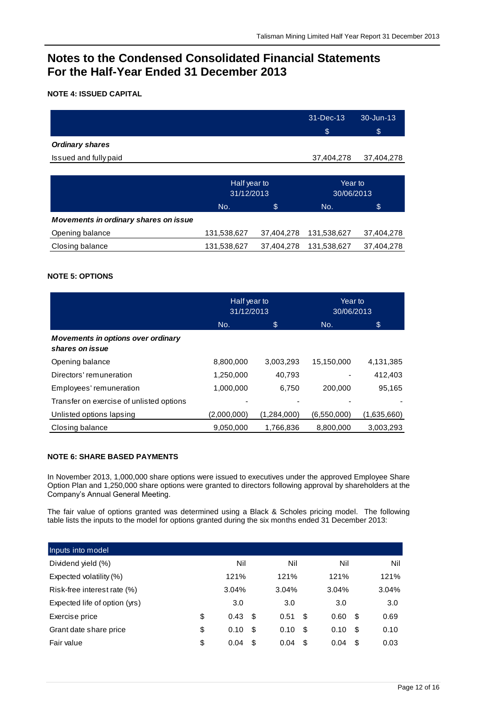#### **NOTE 4: ISSUED CAPITAL**

|                        | 31-Dec-13  | 30-Jun-13  |
|------------------------|------------|------------|
|                        |            |            |
|                        | \$         | \$         |
| <b>Ordinary shares</b> |            |            |
| Issued and fully paid  | 37,404,278 | 37,404,278 |
|                        |            |            |

|                                       | Half year to<br>31/12/2013 |            | Year to<br>30/06/2013 |            |  |
|---------------------------------------|----------------------------|------------|-----------------------|------------|--|
|                                       | No.                        | \$         | No.                   | \$         |  |
| Movements in ordinary shares on issue |                            |            |                       |            |  |
| Opening balance                       | 131,538,627                | 37,404,278 | 131,538,627           | 37,404,278 |  |
| Closing balance                       | 131,538,627                | 37,404,278 | 131,538,627           | 37,404,278 |  |

#### **NOTE 5: OPTIONS**

|                                                              | Half year to<br>31/12/2013 |             | Year to<br>30/06/2013 |             |
|--------------------------------------------------------------|----------------------------|-------------|-----------------------|-------------|
|                                                              | No.                        | \$          | No.                   | \$          |
| <b>Movements in options over ordinary</b><br>shares on issue |                            |             |                       |             |
| Opening balance                                              | 8,800,000                  | 3,003,293   | 15,150,000            | 4,131,385   |
| Directors' remuneration                                      | 1,250,000                  | 40,793      |                       | 412,403     |
| Employees' remuneration                                      | 1,000,000                  | 6,750       | 200,000               | 95,165      |
| Transfer on exercise of unlisted options                     |                            |             |                       |             |
| Unlisted options lapsing                                     | (2,000,000)                | (1,284,000) | (6,550,000)           | (1,635,660) |
| Closing balance                                              | 9,050,000                  | 1,766,836   | 8,800,000             | 3,003,293   |

#### **NOTE 6: SHARE BASED PAYMENTS**

In November 2013, 1,000,000 share options were issued to executives under the approved Employee Share Option Plan and 1,250,000 share options were granted to directors following approval by shareholders at the Company's Annual General Meeting.

The fair value of options granted was determined using a Black & Scholes pricing model. The following table lists the inputs to the model for options granted during the six months ended 31 December 2013:

| Inputs into model             |            |      |       |     |             |       |
|-------------------------------|------------|------|-------|-----|-------------|-------|
| Dividend yield (%)            | Nil        |      | Nil   |     | Nil         | Nil   |
| Expected volatility (%)       | 121%       |      | 121%  |     | 121%        | 121%  |
| Risk-free interest rate (%)   | 3.04%      |      | 3.04% |     | 3.04%       | 3.04% |
| Expected life of option (yrs) | 3.0        |      | 3.0   |     | 3.0         | 3.0   |
| Exercise price                | \$<br>0.43 | - \$ | 0.51  | S   | 0.60<br>\$  | 0.69  |
| Grant date share price        | \$<br>0.10 | - \$ | 0.10  | -\$ | 0.10<br>\$  | 0.10  |
| Fair value                    | \$<br>0.04 | \$.  | 0.04  | \$  | 0.04<br>\$. | 0.03  |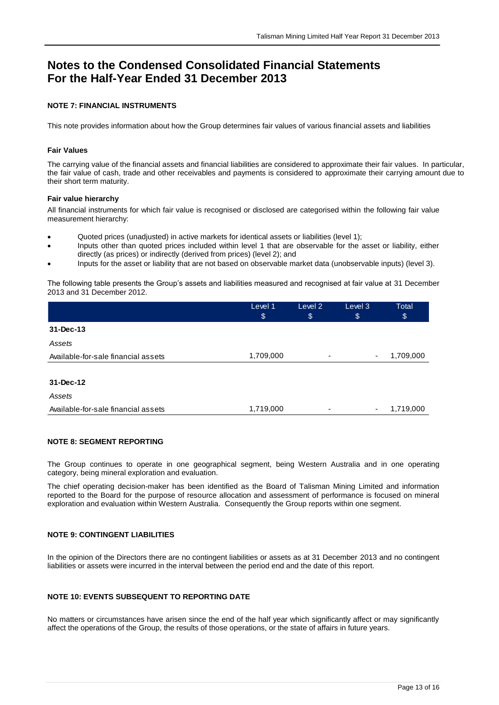#### **NOTE 7: FINANCIAL INSTRUMENTS**

This note provides information about how the Group determines fair values of various financial assets and liabilities

#### **Fair Values**

The carrying value of the financial assets and financial liabilities are considered to approximate their fair values. In particular, the fair value of cash, trade and other receivables and payments is considered to approximate their carrying amount due to their short term maturity.

#### **Fair value hierarchy**

All financial instruments for which fair value is recognised or disclosed are categorised within the following fair value measurement hierarchy:

- Quoted prices (unadjusted) in active markets for identical assets or liabilities (level 1);
- Inputs other than quoted prices included within level 1 that are observable for the asset or liability, either directly (as prices) or indirectly (derived from prices) (level 2); and
- Inputs for the asset or liability that are not based on observable market data (unobservable inputs) (level 3).

The following table presents the Group's assets and liabilities measured and recognised at fair value at 31 December 2013 and 31 December 2012.

|                                     | Level 1<br>\$ | Level 2<br>\$            | Level 3<br>\$ | Total<br>\$ |
|-------------------------------------|---------------|--------------------------|---------------|-------------|
| 31-Dec-13                           |               |                          |               |             |
| Assets                              |               |                          |               |             |
| Available-for-sale financial assets | 1,709,000     | $\overline{\phantom{a}}$ | ۰             | 1,709,000   |
|                                     |               |                          |               |             |
| 31-Dec-12                           |               |                          |               |             |
| Assets                              |               |                          |               |             |
| Available-for-sale financial assets | 1,719,000     | ٠                        | ٠             | 1,719,000   |

#### **NOTE 8: SEGMENT REPORTING**

The Group continues to operate in one geographical segment, being Western Australia and in one operating category, being mineral exploration and evaluation.

The chief operating decision-maker has been identified as the Board of Talisman Mining Limited and information reported to the Board for the purpose of resource allocation and assessment of performance is focused on mineral exploration and evaluation within Western Australia. Consequently the Group reports within one segment.

#### **NOTE 9: CONTINGENT LIABILITIES**

In the opinion of the Directors there are no contingent liabilities or assets as at 31 December 2013 and no contingent liabilities or assets were incurred in the interval between the period end and the date of this report.

#### **NOTE 10: EVENTS SUBSEQUENT TO REPORTING DATE**

No matters or circumstances have arisen since the end of the half year which significantly affect or may significantly affect the operations of the Group, the results of those operations, or the state of affairs in future years.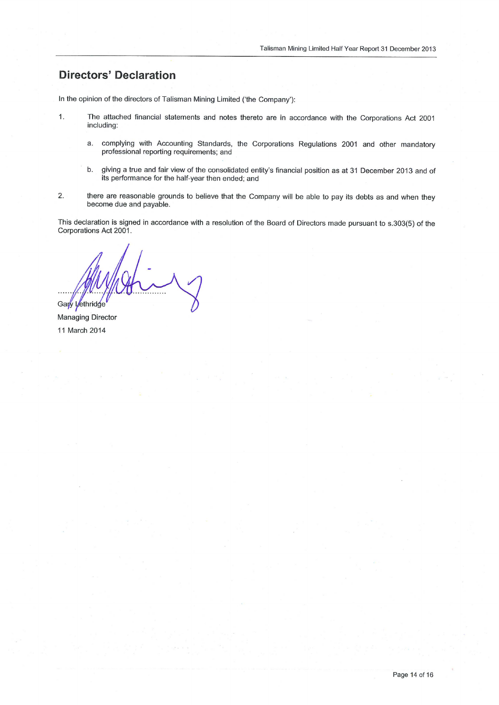### **Directors' Declaration**

 $1.$ 

In the opinion of the directors of Talisman Mining Limited ('the Company'):

- The attached financial statements and notes thereto are in accordance with the Corporations Act 2001 including:
	- a. complying with Accounting Standards, the Corporations Regulations 2001 and other mandatory professional reporting requirements; and
	- b. giving a true and fair view of the consolidated entity's financial position as at 31 December 2013 and of its performance for the half-year then ended; and
- $2.$ there are reasonable grounds to believe that the Company will be able to pay its debts as and when they become due and payable.

This declaration is signed in accordance with a resolution of the Board of Directors made pursuant to s.303(5) of the Corporations Act 2001.

Gary Lethridge

**Managing Director** 11 March 2014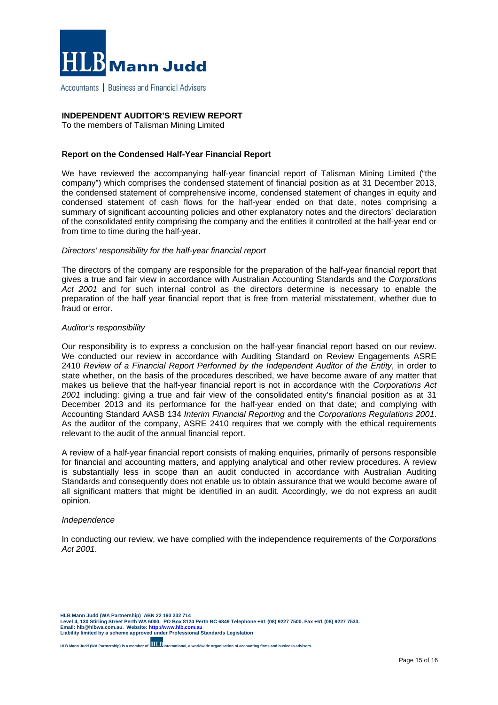

Accountants | Business and Financial Advisers

#### **INDEPENDENT AUDITOR'S REVIEW REPORT**

To the members of Talisman Mining Limited

#### **Report on the Condensed Half-Year Financial Report**

We have reviewed the accompanying half-year financial report of Talisman Mining Limited ("the company") which comprises the condensed statement of financial position as at 31 December 2013, the condensed statement of comprehensive income, condensed statement of changes in equity and condensed statement of cash flows for the half-year ended on that date, notes comprising a summary of significant accounting policies and other explanatory notes and the directors' declaration of the consolidated entity comprising the company and the entities it controlled at the half-year end or from time to time during the half-year.

#### *Directors' responsibility for the half-year financial report*

The directors of the company are responsible for the preparation of the half-year financial report that gives a true and fair view in accordance with Australian Accounting Standards and the *Corporations Act 2001* and for such internal control as the directors determine is necessary to enable the preparation of the half year financial report that is free from material misstatement, whether due to fraud or error.

#### *Auditor's responsibility*

Our responsibility is to express a conclusion on the half-year financial report based on our review. We conducted our review in accordance with Auditing Standard on Review Engagements ASRE 2410 *Review of a Financial Report Performed by the Independent Auditor of the Entity*, in order to state whether, on the basis of the procedures described, we have become aware of any matter that makes us believe that the half-year financial report is not in accordance with the *Corporations Act 2001* including: giving a true and fair view of the consolidated entity's financial position as at 31 December 2013 and its performance for the half-year ended on that date; and complying with Accounting Standard AASB 134 *Interim Financial Reporting* and the *Corporations Regulations 2001*. As the auditor of the company, ASRE 2410 requires that we comply with the ethical requirements relevant to the audit of the annual financial report.

A review of a half-year financial report consists of making enquiries, primarily of persons responsible for financial and accounting matters, and applying analytical and other review procedures. A review is substantially less in scope than an audit conducted in accordance with Australian Auditing Standards and consequently does not enable us to obtain assurance that we would become aware of all significant matters that might be identified in an audit. Accordingly, we do not express an audit opinion.

#### *Independence*

In conducting our review, we have complied with the independence requirements of the *Corporations Act 2001*.

HLB Mann Judd (WA Partnership) ABN 22 193 232 714<br>Level 4, 130 Stirling Street Perth WA 6000. PO Box 8124 Perth BC 6849 Telephone +61 (08) 9227 7500. Fax +61 (08) 9227 7533.<br>Email: hIb@hIbwa.com.au. Website: <u>http://ww</u> **Liability limited by a scheme approved under Professional Standards Legislation** 

**HLB Mann Judd (WA Partnership) is a member of International, a worldwide organisation of accounting firms and business advisers.**